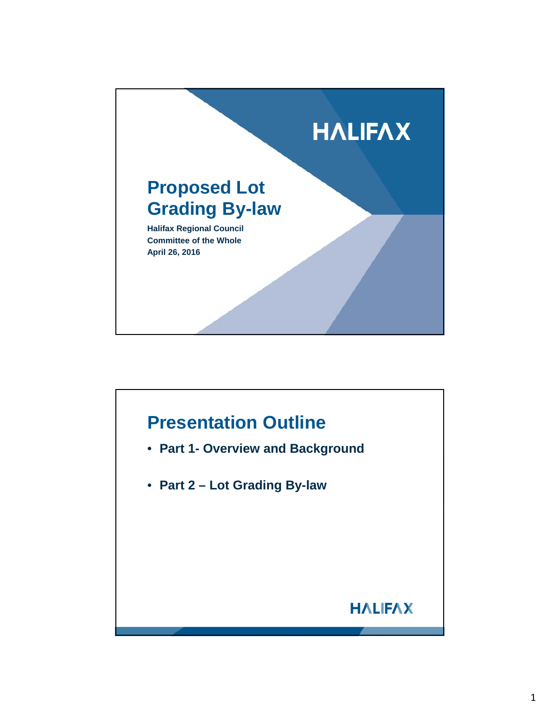

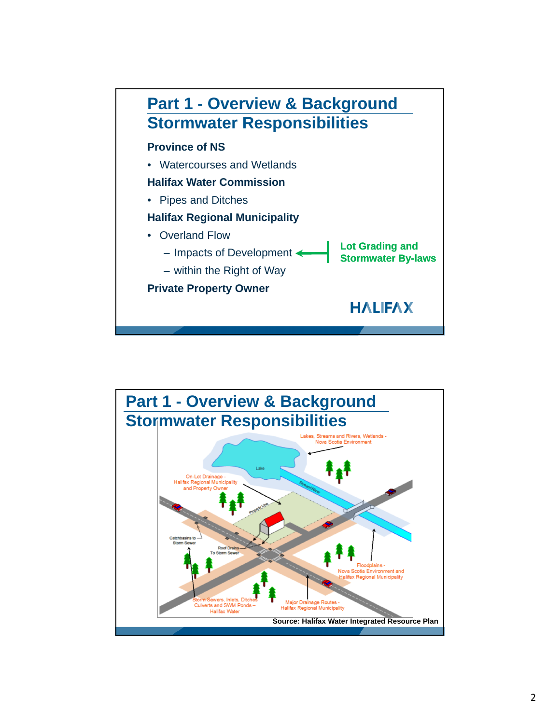

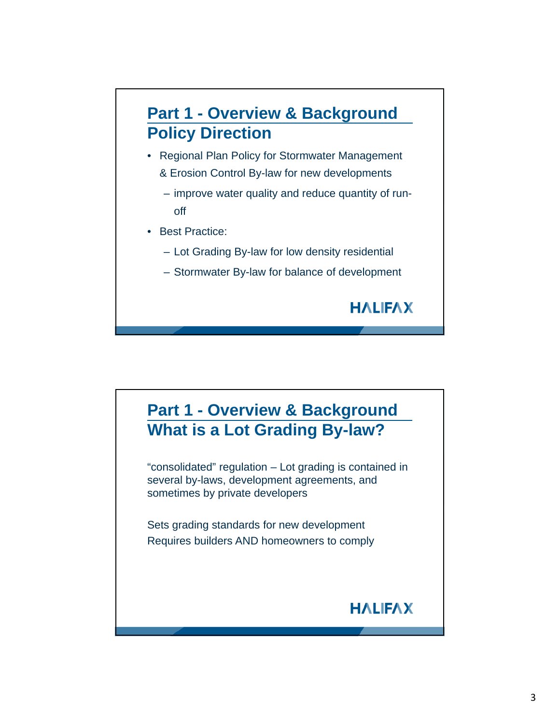

- Regional Plan Policy for Stormwater Management & Erosion Control By-law for new developments
	- improve water quality and reduce quantity of runoff
- Best Practice:
	- Lot Grading By-law for low density residential
	- Stormwater By-law for balance of development

## **Part 1 - Overview & Background What is a Lot Grading By-law?**

"consolidated" regulation – Lot grading is contained in several by-laws, development agreements, and sometimes by private developers

Sets grading standards for new development Requires builders AND homeowners to comply

## **HALIFAX**

**HALIFAX**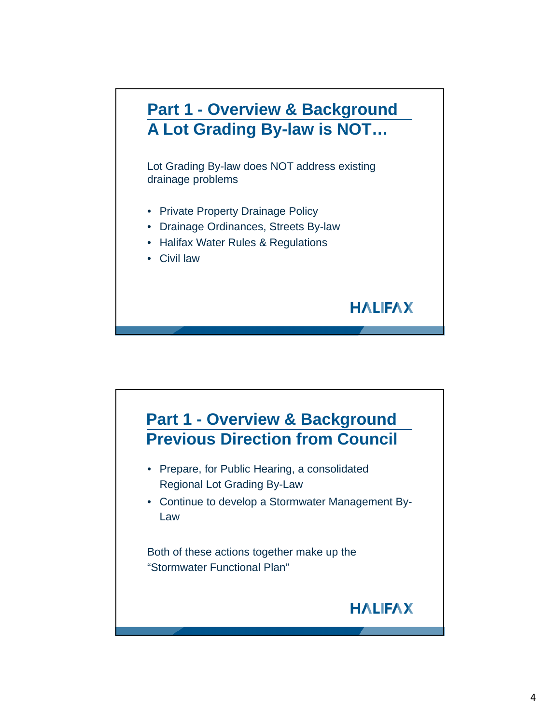

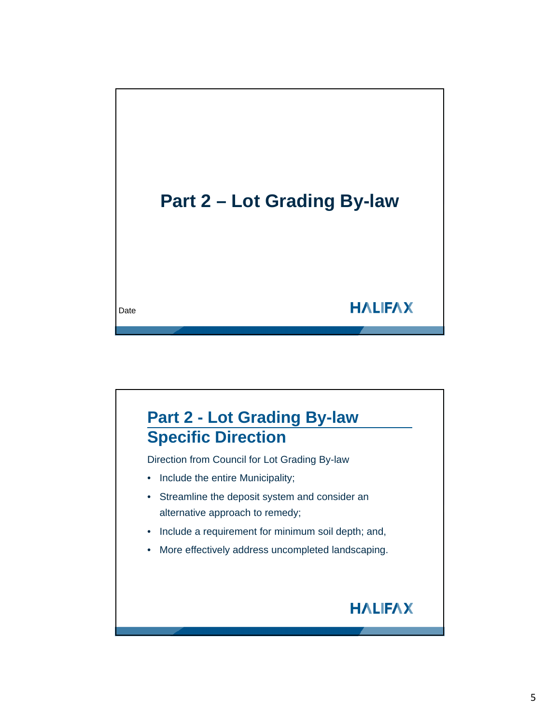

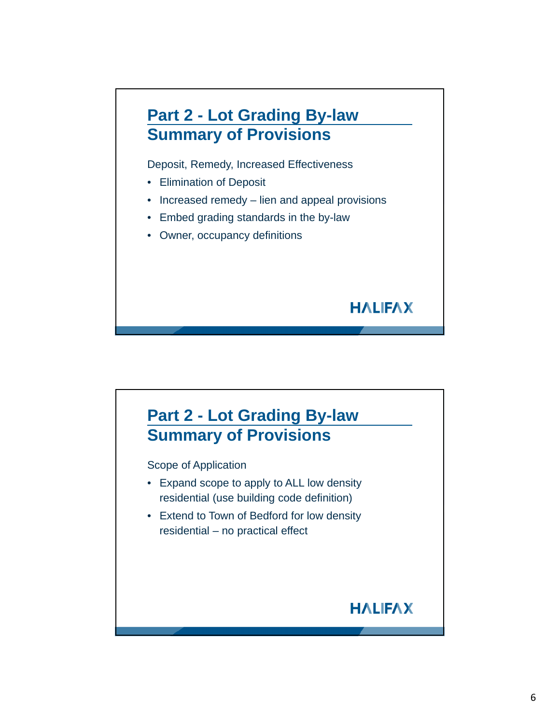